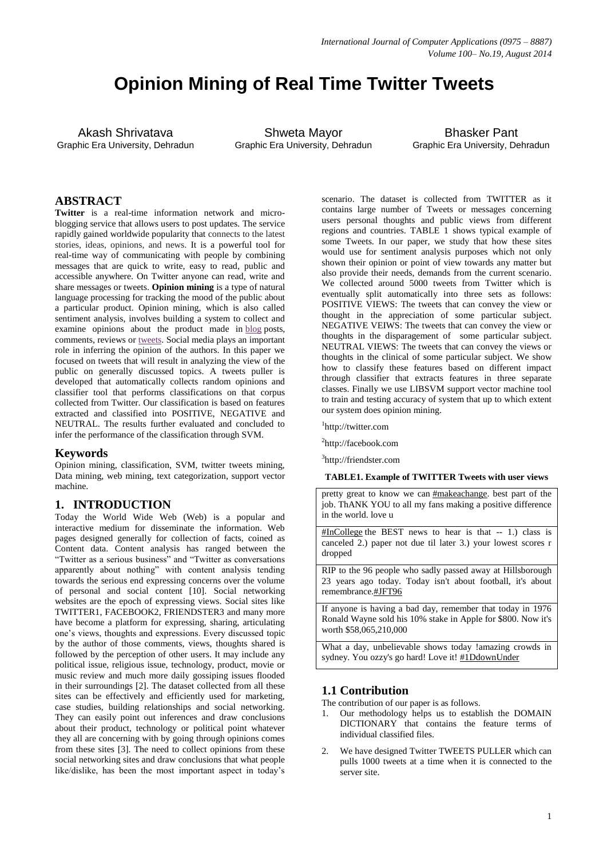# **Opinion Mining of Real Time Twitter Tweets**

Akash Shrivatava Graphic Era University, Dehradun

Shweta Mayor Graphic Era University, Dehradun

Bhasker Pant Graphic Era University, Dehradun

# **ABSTRACT**

**Twitter** is a real-time information network and microblogging service that allows users to post updates. The service rapidly gained worldwide popularity that connects to the latest stories, ideas, opinions, and news. It is a powerful tool for real-time way of communicating with people by combining messages that are quick to write, easy to read, public and accessible anywhere. On Twitter anyone can read, write and share messages or tweets. **Opinion mining** is a type of natural language processing for tracking the mood of the public about a particular product. Opinion mining, which is also called sentiment analysis, involves building a system to collect and examine opinions about the product made in [blog](http://searchsoa.techtarget.com/definition/weblog) posts, comments, reviews or [tweets.](http://whatis.techtarget.com/definition/tweet.html) Social media plays an important role in inferring the opinion of the authors. In this paper we focused on tweets that will result in analyzing the view of the public on generally discussed topics. A tweets puller is developed that automatically collects random opinions and classifier tool that performs classifications on that corpus collected from Twitter. Our classification is based on features extracted and classified into POSITIVE, NEGATIVE and NEUTRAL. The results further evaluated and concluded to infer the performance of the classification through SVM.

## **Keywords**

Opinion mining, classification, SVM, twitter tweets mining, Data mining, web mining, text categorization, support vector machine.

## **1. INTRODUCTION**

Today the World Wide Web (Web) is a popular and interactive medium for disseminate the information. Web pages designed generally for collection of facts, coined as Content data. Content analysis has ranged between the "Twitter as a serious business" and "Twitter as conversations apparently about nothing" with content analysis tending towards the serious end expressing concerns over the volume of personal and social content [10]. Social networking websites are the epoch of expressing views. Social sites like TWITTER1, FACEBOOK2, FRIENDSTER3 and many more have become a platform for expressing, sharing, articulating one's views, thoughts and expressions. Every discussed topic by the author of those comments, views, thoughts shared is followed by the perception of other users. It may include any political issue, religious issue, technology, product, movie or music review and much more daily gossiping issues flooded in their surroundings [2]. The dataset collected from all these sites can be effectively and efficiently used for marketing, case studies, building relationships and social networking. They can easily point out inferences and draw conclusions about their product, technology or political point whatever they all are concerning with by going through opinions comes from these sites [3]. The need to collect opinions from these social networking sites and draw conclusions that what people like/dislike, has been the most important aspect in today's

scenario. The dataset is collected from TWITTER as it contains large number of Tweets or messages concerning users personal thoughts and public views from different regions and countries. TABLE 1 shows typical example of some Tweets. In our paper, we study that how these sites would use for sentiment analysis purposes which not only shown their opinion or point of view towards any matter but also provide their needs, demands from the current scenario. We collected around 5000 tweets from Twitter which is eventually split automatically into three sets as follows: POSITIVE VIEWS: The tweets that can convey the view or thought in the appreciation of some particular subject. NEGATIVE VEIWS: The tweets that can convey the view or thoughts in the disparagement of some particular subject. NEUTRAL VIEWS: The tweets that can convey the views or thoughts in the clinical of some particular subject. We show how to classify these features based on different impact through classifier that extracts features in three separate classes. Finally we use LIBSVM support vector machine tool to train and testing accuracy of system that up to which extent our system does opinion mining.

1 http://twitter.com

<sup>2</sup>http://facebook.com

3 http://friendster.com

**TABLE1. Example of TWITTER Tweets with user views**

pretty great to know we can [#makeachange.](http://twitter.com/#!/search/%23makeachange) best part of the job. ThANK YOU to all my fans making a positive difference in the world. love u

[#InCollege](http://twitter.com/#!/search/%23InCollege) the BEST news to hear is that -- 1.) class is canceled 2.) paper not due til later 3.) your lowest scores r dropped

RIP to the 96 people who sadly passed away at Hillsborough 23 years ago today. Today isn't about football, it's about remembrance[.#JFT96](http://twitter.com/#!/search/%23JFT96)

If anyone is having a bad day, remember that today in 1976 Ronald Wayne sold his 10% stake in Apple for \$800. Now it's worth \$58,065,210,000

What a day, unbelievable shows today !amazing crowds in sydney. You ozzy's go hard! Love it! [#1DdownUnder](http://twitter.com/#!/search/%231DdownUnder)

# **1.1 Contribution**

The contribution of our paper is as follows.

- 1. Our methodology helps us to establish the DOMAIN DICTIONARY that contains the feature terms of individual classified files.
- 2. We have designed Twitter TWEETS PULLER which can pulls 1000 tweets at a time when it is connected to the server site.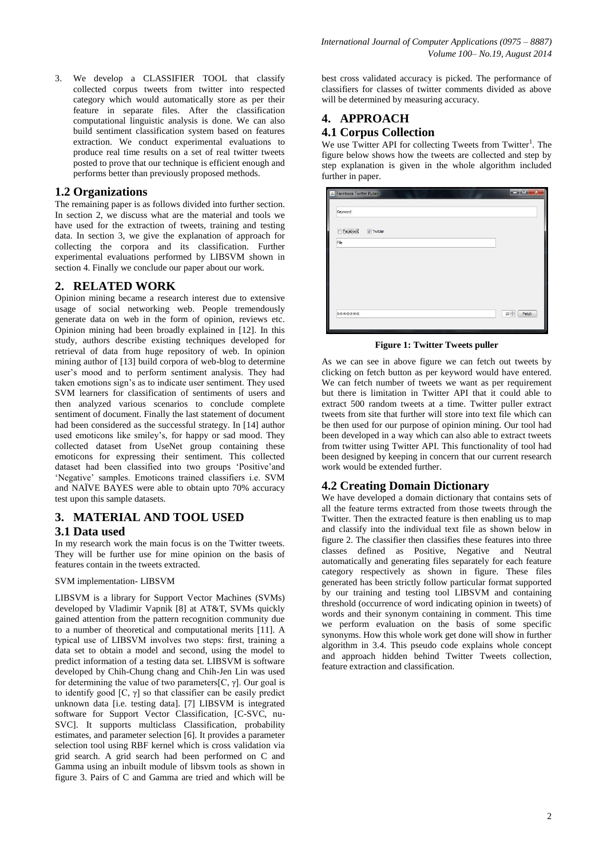3. We develop a CLASSIFIER TOOL that classify collected corpus tweets from twitter into respected category which would automatically store as per their feature in separate files. After the classification computational linguistic analysis is done. We can also build sentiment classification system based on features extraction. We conduct experimental evaluations to produce real time results on a set of real twitter tweets posted to prove that our technique is efficient enough and performs better than previously proposed methods.

# **1.2 Organizations**

The remaining paper is as follows divided into further section. In section 2, we discuss what are the material and tools we have used for the extraction of tweets, training and testing data. In section 3, we give the explanation of approach for collecting the corpora and its classification. Further experimental evaluations performed by LIBSVM shown in section 4. Finally we conclude our paper about our work.

# **2. RELATED WORK**

Opinion mining became a research interest due to extensive usage of social networking web. People tremendously generate data on web in the form of opinion, reviews etc. Opinion mining had been broadly explained in [12]. In this study, authors describe existing techniques developed for retrieval of data from huge repository of web. In opinion mining author of [13] build corpora of web-blog to determine user's mood and to perform sentiment analysis. They had taken emotions sign's as to indicate user sentiment. They used SVM learners for classification of sentiments of users and then analyzed various scenarios to conclude complete sentiment of document. Finally the last statement of document had been considered as the successful strategy. In [14] author used emoticons like smiley's, for happy or sad mood. They collected dataset from UseNet group containing these emoticons for expressing their sentiment. This collected dataset had been classified into two groups 'Positive'and 'Negative' samples. Emoticons trained classifiers i.e. SVM and NAÏVE BAYES were able to obtain upto 70% accuracy test upon this sample datasets.

# **3. MATERIAL AND TOOL USED**

## **3.1 Data used**

In my research work the main focus is on the Twitter tweets. They will be further use for mine opinion on the basis of features contain in the tweets extracted.

## SVM implementation- LIBSVM

LIBSVM is a library for Support Vector Machines (SVMs) developed by Vladimir Vapnik [8] at AT&T, SVMs quickly gained attention from the pattern recognition community due to a number of theoretical and computational merits [11]. A typical use of LIBSVM involves two steps: first, training a data set to obtain a model and second, using the model to predict information of a testing data set. LIBSVM is software developed by Chih-Chung chang and Chih-Jen Lin was used for determining the value of two parameters [C,  $\gamma$ ]. Our goal is to identify good  $[C, \gamma]$  so that classifier can be easily predict unknown data [i.e. testing data]. [7] LIBSVM is integrated software for Support Vector Classification, [C-SVC, nu-SVCl. It supports multiclass Classification, probability estimates, and parameter selection [6]. It provides a parameter selection tool using RBF kernel which is cross validation via grid search. A grid search had been performed on C and Gamma using an inbuilt module of libsvm tools as shown in figure 3. Pairs of C and Gamma are tried and which will be

best cross validated accuracy is picked. The performance of classifiers for classes of twitter comments divided as above will be determined by measuring accuracy.

# **4. APPROACH**

# **4.1 Corpus Collection**

We use Twitter API for collecting Tweets from Twitter<sup>1</sup>. The figure below shows how the tweets are collected and step by step explanation is given in the whole algorithm included further in paper.

| Keyword                        |  |
|--------------------------------|--|
| Facebook<br>$\sqrt{ }$ Twitter |  |
| File                           |  |
|                                |  |
|                                |  |
|                                |  |
|                                |  |
|                                |  |

**Figure 1: Twitter Tweets puller** 

As we can see in above figure we can fetch out tweets by clicking on fetch button as per keyword would have entered. We can fetch number of tweets we want as per requirement but there is limitation in Twitter API that it could able to extract 500 random tweets at a time. Twitter puller extract tweets from site that further will store into text file which can be then used for our purpose of opinion mining. Our tool had been developed in a way which can also able to extract tweets from twitter using Twitter API. This functionality of tool had been designed by keeping in concern that our current research work would be extended further.

# **4.2 Creating Domain Dictionary**

We have developed a domain dictionary that contains sets of all the feature terms extracted from those tweets through the Twitter. Then the extracted feature is then enabling us to map and classify into the individual text file as shown below in figure 2. The classifier then classifies these features into three classes defined as Positive, Negative and Neutral automatically and generating files separately for each feature category respectively as shown in figure. These files generated has been strictly follow particular format supported by our training and testing tool LIBSVM and containing threshold (occurrence of word indicating opinion in tweets) of words and their synonym containing in comment. This time we perform evaluation on the basis of some specific synonyms. How this whole work get done will show in further algorithm in 3.4. This pseudo code explains whole concept and approach hidden behind Twitter Tweets collection, feature extraction and classification.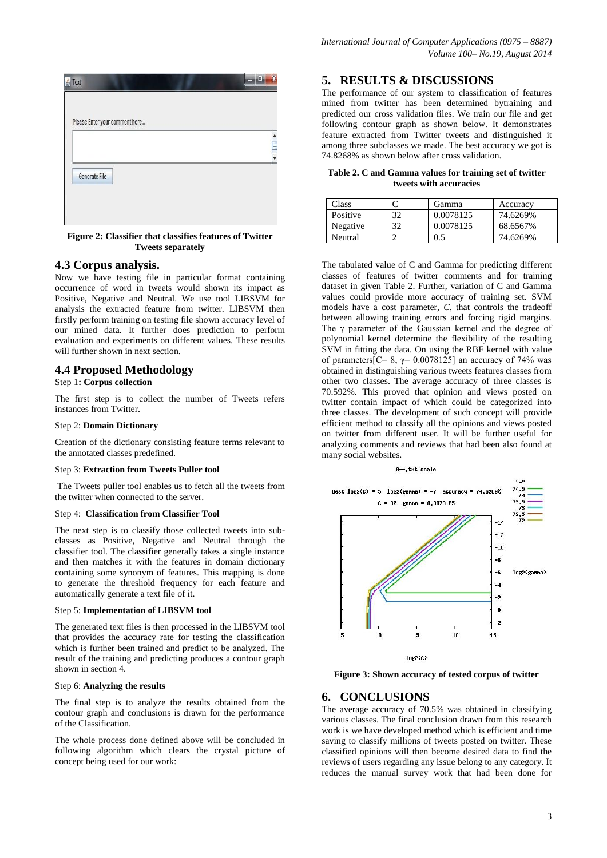|                      | Please Enter your comment here |  |  |
|----------------------|--------------------------------|--|--|
|                      |                                |  |  |
|                      |                                |  |  |
| <b>Generate File</b> |                                |  |  |

**Figure 2: Classifier that classifies features of Twitter Tweets separately**

## **4.3 Corpus analysis.**

Now we have testing file in particular format containing occurrence of word in tweets would shown its impact as Positive, Negative and Neutral. We use tool LIBSVM for analysis the extracted feature from twitter. LIBSVM then firstly perform training on testing file shown accuracy level of our mined data. It further does prediction to perform evaluation and experiments on different values. These results will further shown in next section.

## **4.4 Proposed Methodology**

## Step 1**: Corpus collection**

The first step is to collect the number of Tweets refers instances from Twitter.

#### Step 2: **Domain Dictionary**

Creation of the dictionary consisting feature terms relevant to the annotated classes predefined.

#### Step 3: **Extraction from Tweets Puller tool**

The Tweets puller tool enables us to fetch all the tweets from the twitter when connected to the server.

#### Step 4: **Classification from Classifier Tool**

The next step is to classify those collected tweets into subclasses as Positive, Negative and Neutral through the classifier tool. The classifier generally takes a single instance and then matches it with the features in domain dictionary containing some synonym of features. This mapping is done to generate the threshold frequency for each feature and automatically generate a text file of it.

#### Step 5: **Implementation of LIBSVM tool**

The generated text files is then processed in the LIBSVM tool that provides the accuracy rate for testing the classification which is further been trained and predict to be analyzed. The result of the training and predicting produces a contour graph shown in section 4.

#### Step 6: **Analyzing the results**

The final step is to analyze the results obtained from the contour graph and conclusions is drawn for the performance of the Classification.

The whole process done defined above will be concluded in following algorithm which clears the crystal picture of concept being used for our work:

## **5. RESULTS & DISCUSSIONS**

The performance of our system to classification of features mined from twitter has been determined bytraining and predicted our cross validation files. We train our file and get following contour graph as shown below. It demonstrates feature extracted from Twitter tweets and distinguished it among three subclasses we made. The best accuracy we got is 74.8268% as shown below after cross validation.

#### **Table 2. C and Gamma values for training set of twitter tweets with accuracies**

| Class    |    | Gamma     | Accuracy |
|----------|----|-----------|----------|
| Positive | 32 | 0.0078125 | 74.6269% |
| Negative | 20 | 0.0078125 | 68.6567% |
| Neutral  |    | J.:       | 74.6269% |

The tabulated value of C and Gamma for predicting different classes of features of twitter comments and for training dataset in given Table 2. Further, variation of C and Gamma values could provide more accuracy of training set. SVM models have a cost parameter, *C*, that controls the tradeoff between allowing training errors and forcing rigid margins. The γ parameter of the Gaussian kernel and the degree of polynomial kernel determine the flexibility of the resulting SVM in fitting the data. On using the RBF kernel with value of parameters  $[C= 8, \gamma = 0.0078125]$  an accuracy of 74% was obtained in distinguishing various tweets features classes from other two classes. The average accuracy of three classes is 70.592%. This proved that opinion and views posted on twitter contain impact of which could be categorized into three classes. The development of such concept will provide efficient method to classify all the opinions and views posted on twitter from different user. It will be further useful for analyzing comments and reviews that had been also found at many social websites.

#### A--.txt.scale



**Figure 3: Shown accuracy of tested corpus of twitter**

## **6. CONCLUSIONS**

The average accuracy of 70.5% was obtained in classifying various classes. The final conclusion drawn from this research work is we have developed method which is efficient and time saving to classify millions of tweets posted on twitter. These classified opinions will then become desired data to find the reviews of users regarding any issue belong to any category. It reduces the manual survey work that had been done for